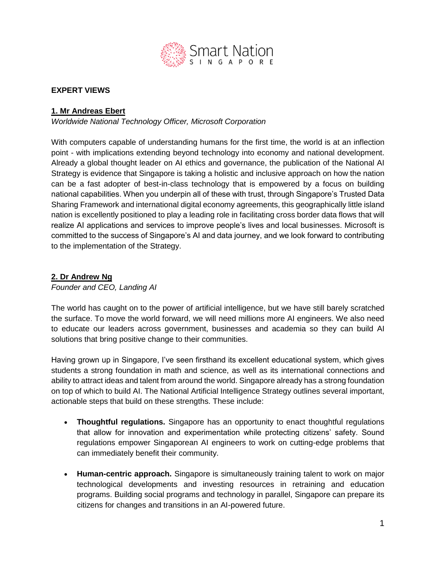

### **EXPERT VIEWS**

### **1. Mr Andreas Ebert**

*Worldwide National Technology Officer, Microsoft Corporation*

With computers capable of understanding humans for the first time, the world is at an inflection point - with implications extending beyond technology into economy and national development. Already a global thought leader on AI ethics and governance, the publication of the National AI Strategy is evidence that Singapore is taking a holistic and inclusive approach on how the nation can be a fast adopter of best-in-class technology that is empowered by a focus on building national capabilities. When you underpin all of these with trust, through Singapore's Trusted Data Sharing Framework and international digital economy agreements, this geographically little island nation is excellently positioned to play a leading role in facilitating cross border data flows that will realize AI applications and services to improve people's lives and local businesses. Microsoft is committed to the success of Singapore's AI and data journey, and we look forward to contributing to the implementation of the Strategy.

### **2. Dr Andrew Ng**

*Founder and CEO, Landing AI*

The world has caught on to the power of artificial intelligence, but we have still barely scratched the surface. To move the world forward, we will need millions more AI engineers. We also need to educate our leaders across government, businesses and academia so they can build AI solutions that bring positive change to their communities.

Having grown up in Singapore, I've seen firsthand its excellent educational system, which gives students a strong foundation in math and science, as well as its international connections and ability to attract ideas and talent from around the world. Singapore already has a strong foundation on top of which to build AI. The National Artificial Intelligence Strategy outlines several important, actionable steps that build on these strengths. These include:

- **Thoughtful regulations.** Singapore has an opportunity to enact thoughtful regulations that allow for innovation and experimentation while protecting citizens' safety. Sound regulations empower Singaporean AI engineers to work on cutting-edge problems that can immediately benefit their community.
- **Human-centric approach.** Singapore is simultaneously training talent to work on major technological developments and investing resources in retraining and education programs. Building social programs and technology in parallel, Singapore can prepare its citizens for changes and transitions in an AI-powered future.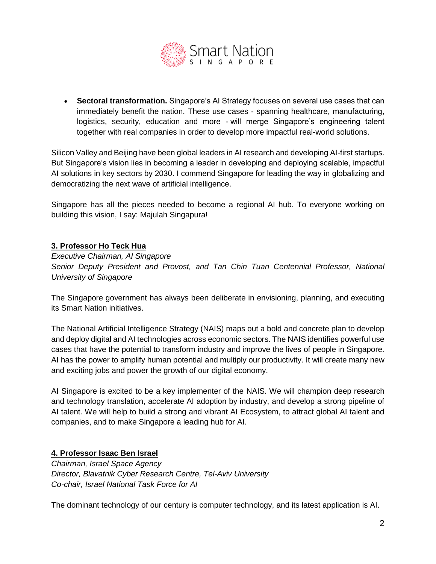

 **Sectoral transformation.** Singapore's AI Strategy focuses on several use cases that can immediately benefit the nation. These use cases - spanning healthcare, manufacturing, logistics, security, education and more - will merge Singapore's engineering talent together with real companies in order to develop more impactful real-world solutions.

Silicon Valley and Beijing have been global leaders in AI research and developing AI-first startups. But Singapore's vision lies in becoming a leader in developing and deploying scalable, impactful AI solutions in key sectors by 2030. I commend Singapore for leading the way in globalizing and democratizing the next wave of artificial intelligence.

Singapore has all the pieces needed to become a regional AI hub. To everyone working on building this vision, I say: Majulah Singapura!

### **3. Professor Ho Teck Hua**

*Executive Chairman, AI Singapore Senior Deputy President and Provost, and Tan Chin Tuan Centennial Professor, National University of Singapore*

The Singapore government has always been deliberate in envisioning, planning, and executing its Smart Nation initiatives.

The National Artificial Intelligence Strategy (NAIS) maps out a bold and concrete plan to develop and deploy digital and AI technologies across economic sectors. The NAIS identifies powerful use cases that have the potential to transform industry and improve the lives of people in Singapore. AI has the power to amplify human potential and multiply our productivity. It will create many new and exciting jobs and power the growth of our digital economy.

AI Singapore is excited to be a key implementer of the NAIS. We will champion deep research and technology translation, accelerate AI adoption by industry, and develop a strong pipeline of AI talent. We will help to build a strong and vibrant AI Ecosystem, to attract global AI talent and companies, and to make Singapore a leading hub for AI.

# **4. Professor Isaac Ben Israel**

*Chairman, Israel Space Agency Director, Blavatnik Cyber Research Centre, Tel-Aviv University Co-chair, Israel National Task Force for AI*

The dominant technology of our century is computer technology, and its latest application is AI.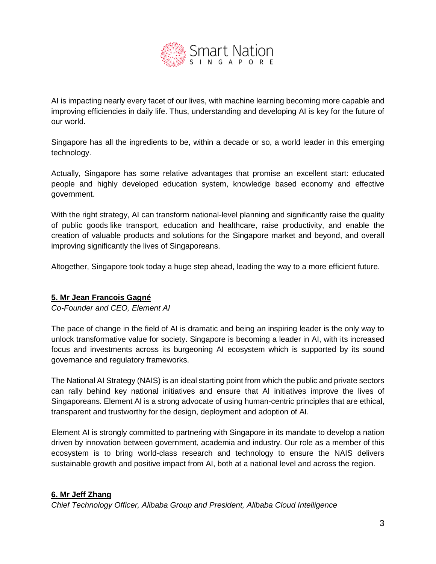

AI is impacting nearly every facet of our lives, with machine learning becoming more capable and improving efficiencies in daily life. Thus, understanding and developing AI is key for the future of our world.

Singapore has all the ingredients to be, within a decade or so, a world leader in this emerging technology.

Actually, Singapore has some relative advantages that promise an excellent start: educated people and highly developed education system, knowledge based economy and effective government.

With the right strategy, AI can transform national-level planning and significantly raise the quality of public goods like transport, education and healthcare, raise productivity, and enable the creation of valuable products and solutions for the Singapore market and beyond, and overall improving significantly the lives of Singaporeans.

Altogether, Singapore took today a huge step ahead, leading the way to a more efficient future.

#### **5. Mr Jean Francois Gagné**

*Co-Founder and CEO, Element AI*

The pace of change in the field of AI is dramatic and being an inspiring leader is the only way to unlock transformative value for society. Singapore is becoming a leader in AI, with its increased focus and investments across its burgeoning AI ecosystem which is supported by its sound governance and regulatory frameworks.

The National AI Strategy (NAIS) is an ideal starting point from which the public and private sectors can rally behind key national initiatives and ensure that AI initiatives improve the lives of Singaporeans. Element AI is a strong advocate of using human-centric principles that are ethical, transparent and trustworthy for the design, deployment and adoption of AI.

Element AI is strongly committed to partnering with Singapore in its mandate to develop a nation driven by innovation between government, academia and industry. Our role as a member of this ecosystem is to bring world-class research and technology to ensure the NAIS delivers sustainable growth and positive impact from AI, both at a national level and across the region.

#### **6. Mr Jeff Zhang**

*Chief Technology Officer, Alibaba Group and President, Alibaba Cloud Intelligence*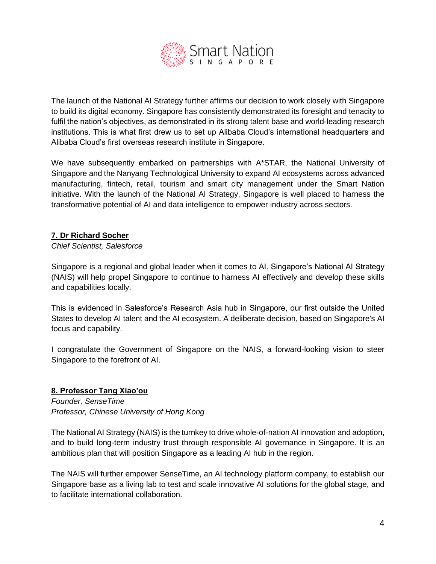

The launch of the National AI Strategy further affirms our decision to work closely with Singapore to build its digital economy. Singapore has consistently demonstrated its foresight and tenacity to fulfil the nation's objectives, as demonstrated in its strong talent base and world-leading research institutions. This is what first drew us to set up Alibaba Cloud's international headquarters and Alibaba Cloud's first overseas research institute in Singapore.

We have subsequently embarked on partnerships with A\*STAR, the National University of Singapore and the Nanyang Technological University to expand AI ecosystems across advanced manufacturing, fintech, retail, tourism and smart city management under the Smart Nation initiative. With the launch of the National AI Strategy, Singapore is well placed to harness the transformative potential of AI and data intelligence to empower industry across sectors.

# **7. Dr Richard Socher**

*Chief Scientist, Salesforce*

Singapore is a regional and global leader when it comes to AI. Singapore's National AI Strategy (NAIS) will help propel Singapore to continue to harness AI effectively and develop these skills and capabilities locally.

This is evidenced in Salesforce's Research Asia hub in Singapore, our first outside the United States to develop AI talent and the AI ecosystem. A deliberate decision, based on Singapore's AI focus and capability.

I congratulate the Government of Singapore on the NAIS, a forward-looking vision to steer Singapore to the forefront of AI.

# **8. Professor Tang Xiao'ou**

*Founder, SenseTime Professor, Chinese University of Hong Kong*

The National AI Strategy (NAIS) is the turnkey to drive whole-of-nation AI innovation and adoption, and to build long-term industry trust through responsible AI governance in Singapore. It is an ambitious plan that will position Singapore as a leading AI hub in the region.

The NAIS will further empower SenseTime, an AI technology platform company, to establish our Singapore base as a living lab to test and scale innovative AI solutions for the global stage, and to facilitate international collaboration.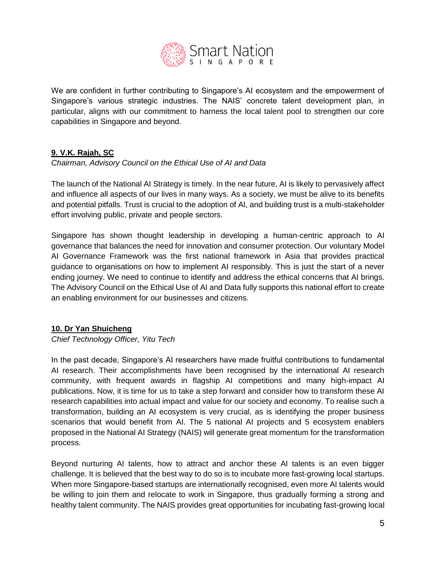

We are confident in further contributing to Singapore's AI ecosystem and the empowerment of Singapore's various strategic industries. The NAIS' concrete talent development plan, in particular, aligns with our commitment to harness the local talent pool to strengthen our core capabilities in Singapore and beyond.

# **9. V.K. Rajah, SC**

*Chairman, Advisory Council on the Ethical Use of AI and Data*

The launch of the National AI Strategy is timely. In the near future, AI is likely to pervasively affect and influence all aspects of our lives in many ways. As a society, we must be alive to its benefits and potential pitfalls. Trust is crucial to the adoption of AI, and building trust is a multi-stakeholder effort involving public, private and people sectors.

Singapore has shown thought leadership in developing a human-centric approach to AI governance that balances the need for innovation and consumer protection. Our voluntary Model AI Governance Framework was the first national framework in Asia that provides practical guidance to organisations on how to implement AI responsibly. This is just the start of a never ending journey. We need to continue to identify and address the ethical concerns that AI brings. The Advisory Council on the Ethical Use of AI and Data fully supports this national effort to create an enabling environment for our businesses and citizens.

# **10. Dr Yan Shuicheng**

*Chief Technology Officer, Yitu Tech*

In the past decade, Singapore's AI researchers have made fruitful contributions to fundamental AI research. Their accomplishments have been recognised by the international AI research community, with frequent awards in flagship AI competitions and many high-impact AI publications. Now, it is time for us to take a step forward and consider how to transform these AI research capabilities into actual impact and value for our society and economy. To realise such a transformation, building an AI ecosystem is very crucial, as is identifying the proper business scenarios that would benefit from AI. The 5 national AI projects and 5 ecosystem enablers proposed in the National AI Strategy (NAIS) will generate great momentum for the transformation process.

Beyond nurturing AI talents, how to attract and anchor these AI talents is an even bigger challenge. It is believed that the best way to do so is to incubate more fast-growing local startups. When more Singapore-based startups are internationally recognised, even more AI talents would be willing to join them and relocate to work in Singapore, thus gradually forming a strong and healthy talent community. The NAIS provides great opportunities for incubating fast-growing local